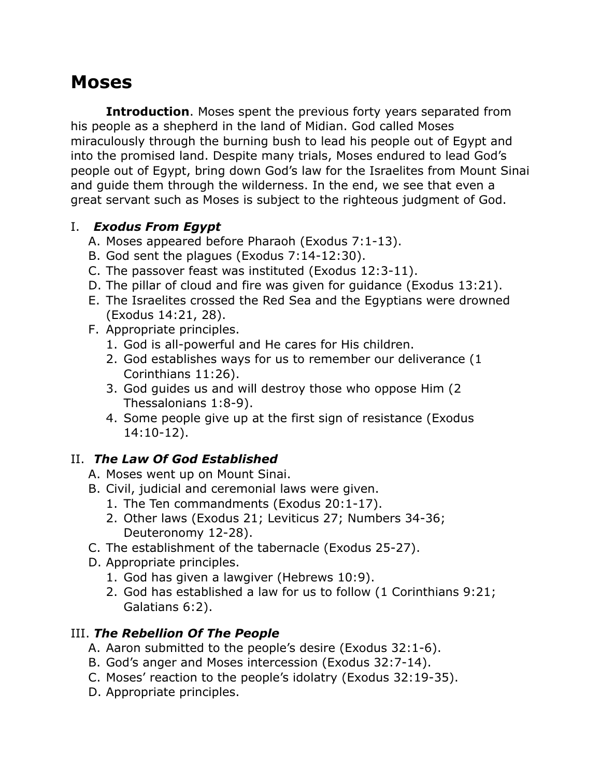# **Moses**

**Introduction**. Moses spent the previous forty years separated from his people as a shepherd in the land of Midian. God called Moses miraculously through the burning bush to lead his people out of Egypt and into the promised land. Despite many trials, Moses endured to lead God's people out of Egypt, bring down God's law for the Israelites from Mount Sinai and guide them through the wilderness. In the end, we see that even a great servant such as Moses is subject to the righteous judgment of God.

#### I. *Exodus From Egypt*

- A. Moses appeared before Pharaoh (Exodus 7:1-13).
- B. God sent the plagues (Exodus 7:14-12:30).
- C. The passover feast was instituted (Exodus 12:3-11).
- D. The pillar of cloud and fire was given for guidance (Exodus 13:21).
- E. The Israelites crossed the Red Sea and the Egyptians were drowned (Exodus 14:21, 28).
- F. Appropriate principles.
	- 1. God is all-powerful and He cares for His children.
	- 2. God establishes ways for us to remember our deliverance (1 Corinthians 11:26).
	- 3. God guides us and will destroy those who oppose Him (2 Thessalonians 1:8-9).
	- 4. Some people give up at the first sign of resistance (Exodus 14:10-12).

## II. *The Law Of God Established*

- A. Moses went up on Mount Sinai.
- B. Civil, judicial and ceremonial laws were given.
	- 1. The Ten commandments (Exodus 20:1-17).
	- 2. Other laws (Exodus 21; Leviticus 27; Numbers 34-36; Deuteronomy 12-28).
- C. The establishment of the tabernacle (Exodus 25-27).
- D. Appropriate principles.
	- 1. God has given a lawgiver (Hebrews 10:9).
	- 2. God has established a law for us to follow (1 Corinthians 9:21; Galatians 6:2).

#### III. *The Rebellion Of The People*

- A. Aaron submitted to the people's desire (Exodus 32:1-6).
- B. God's anger and Moses intercession (Exodus 32:7-14).
- C. Moses' reaction to the people's idolatry (Exodus 32:19-35).
- D. Appropriate principles.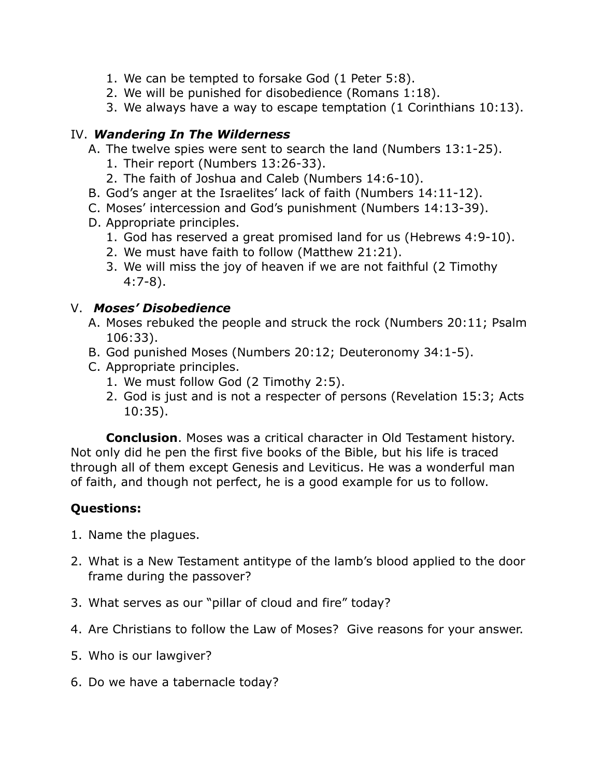- 1. We can be tempted to forsake God (1 Peter 5:8).
- 2. We will be punished for disobedience (Romans 1:18).
- 3. We always have a way to escape temptation (1 Corinthians 10:13).

### IV. *Wandering In The Wilderness*

- A. The twelve spies were sent to search the land (Numbers 13:1-25).
	- 1. Their report (Numbers 13:26-33).
	- 2. The faith of Joshua and Caleb (Numbers 14:6-10).
- B. God's anger at the Israelites' lack of faith (Numbers 14:11-12).
- C. Moses' intercession and God's punishment (Numbers 14:13-39).
- D. Appropriate principles.
	- 1. God has reserved a great promised land for us (Hebrews 4:9-10).
	- 2. We must have faith to follow (Matthew 21:21).
	- 3. We will miss the joy of heaven if we are not faithful (2 Timothy 4:7-8).

#### V. *Moses' Disobedience*

- A. Moses rebuked the people and struck the rock (Numbers 20:11; Psalm 106:33).
- B. God punished Moses (Numbers 20:12; Deuteronomy 34:1-5).
- C. Appropriate principles.
	- 1. We must follow God (2 Timothy 2:5).
	- 2. God is just and is not a respecter of persons (Revelation 15:3; Acts 10:35).

**Conclusion**. Moses was a critical character in Old Testament history. Not only did he pen the first five books of the Bible, but his life is traced through all of them except Genesis and Leviticus. He was a wonderful man of faith, and though not perfect, he is a good example for us to follow.

## **Questions:**

- 1. Name the plagues.
- 2. What is a New Testament antitype of the lamb's blood applied to the door frame during the passover?
- 3. What serves as our "pillar of cloud and fire" today?
- 4. Are Christians to follow the Law of Moses? Give reasons for your answer.
- 5. Who is our lawgiver?
- 6. Do we have a tabernacle today?